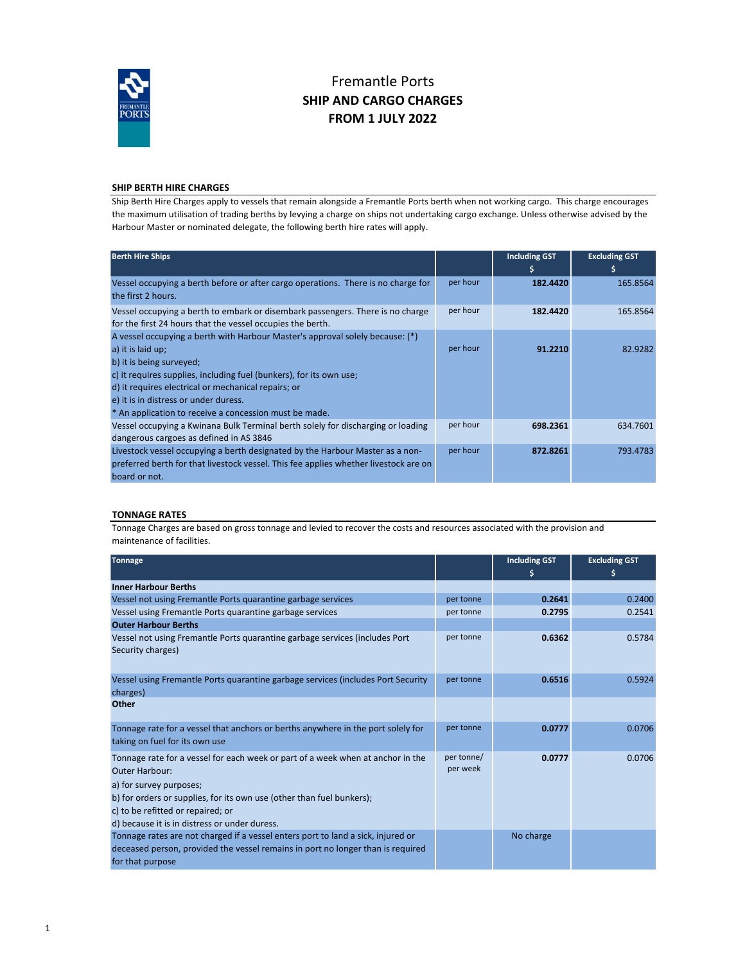

# Fremantle Ports **SHIP AND CARGO CHARGES FROM 1 JULY 2022**

### **SHIP BERTH HIRE CHARGES**

Ship Berth Hire Charges apply to vessels that remain alongside a Fremantle Ports berth when not working cargo. This charge encourages the maximum utilisation of trading berths by levying a charge on ships not undertaking cargo exchange. Unless otherwise advised by the Harbour Master or nominated delegate, the following berth hire rates will apply.

| <b>Berth Hire Ships</b>                                                                                                                                                                                                                                                                                                                                         |          | <b>Including GST</b><br>\$ | <b>Excluding GST</b><br>\$ |
|-----------------------------------------------------------------------------------------------------------------------------------------------------------------------------------------------------------------------------------------------------------------------------------------------------------------------------------------------------------------|----------|----------------------------|----------------------------|
| Vessel occupying a berth before or after cargo operations. There is no charge for<br>the first 2 hours.                                                                                                                                                                                                                                                         | per hour | 182.4420                   | 165.8564                   |
| Vessel occupying a berth to embark or disembark passengers. There is no charge<br>for the first 24 hours that the vessel occupies the berth.                                                                                                                                                                                                                    | per hour | 182.4420                   | 165.8564                   |
| A vessel occupying a berth with Harbour Master's approval solely because: (*)<br>a) it is laid up;<br>b) it is being surveyed;<br>c) it requires supplies, including fuel (bunkers), for its own use;<br>d) it requires electrical or mechanical repairs; or<br>e) it is in distress or under duress.<br>* An application to receive a concession must be made. | per hour | 91.2210                    | 82.9282                    |
| Vessel occupying a Kwinana Bulk Terminal berth solely for discharging or loading<br>dangerous cargoes as defined in AS 3846                                                                                                                                                                                                                                     | per hour | 698.2361                   | 634.7601                   |
| Livestock vessel occupying a berth designated by the Harbour Master as a non-<br>preferred berth for that livestock vessel. This fee applies whether livestock are on<br>board or not.                                                                                                                                                                          | per hour | 872.8261                   | 793.4783                   |

### **TONNAGE RATES**

Tonnage Charges are based on gross tonnage and levied to recover the costs and resources associated with the provision and maintenance of facilities.

| <b>Tonnage</b>                                                                                                                                                                          |                        | <b>Including GST</b> | <b>Excluding GST</b><br>S |
|-----------------------------------------------------------------------------------------------------------------------------------------------------------------------------------------|------------------------|----------------------|---------------------------|
| <b>Inner Harbour Berths</b>                                                                                                                                                             |                        |                      |                           |
| Vessel not using Fremantle Ports quarantine garbage services                                                                                                                            | per tonne              | 0.2641               | 0.2400                    |
| Vessel using Fremantle Ports quarantine garbage services                                                                                                                                | per tonne              | 0.2795               | 0.2541                    |
| <b>Outer Harbour Berths</b>                                                                                                                                                             |                        |                      |                           |
| Vessel not using Fremantle Ports quarantine garbage services (includes Port<br>Security charges)                                                                                        | per tonne              | 0.6362               | 0.5784                    |
| Vessel using Fremantle Ports quarantine garbage services (includes Port Security<br>charges)                                                                                            | per tonne              | 0.6516               | 0.5924                    |
| Other                                                                                                                                                                                   |                        |                      |                           |
| Tonnage rate for a vessel that anchors or berths anywhere in the port solely for<br>taking on fuel for its own use                                                                      | per tonne              | 0.0777               | 0.0706                    |
| Tonnage rate for a vessel for each week or part of a week when at anchor in the<br><b>Outer Harbour:</b>                                                                                | per tonne/<br>per week | 0.0777               | 0.0706                    |
| a) for survey purposes;<br>b) for orders or supplies, for its own use (other than fuel bunkers);<br>c) to be refitted or repaired; or<br>d) because it is in distress or under duress.  |                        |                      |                           |
| Tonnage rates are not charged if a vessel enters port to land a sick, injured or<br>deceased person, provided the vessel remains in port no longer than is required<br>for that purpose |                        | No charge            |                           |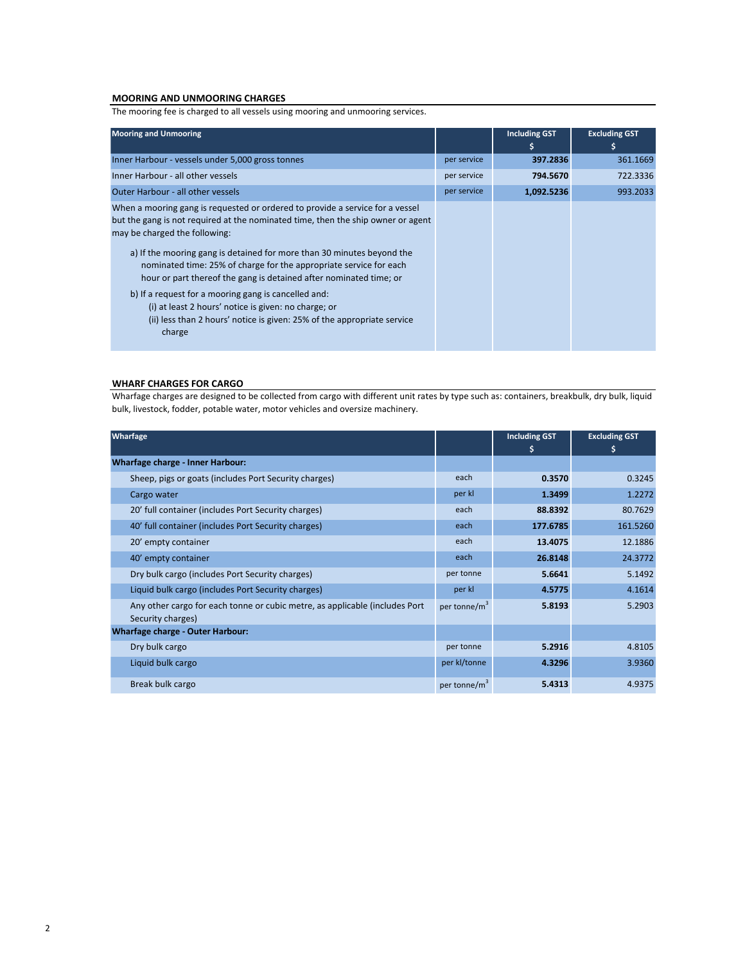## **MOORING AND UNMOORING CHARGES**

The mooring fee is charged to all vessels using mooring and unmooring services.

| <b>Mooring and Unmooring</b>                                                                                                                                                                                                                                                                                                                                                                                                                                                                                                                                                                                                  |             | <b>Including GST</b> | <b>Excluding GST</b><br>s |
|-------------------------------------------------------------------------------------------------------------------------------------------------------------------------------------------------------------------------------------------------------------------------------------------------------------------------------------------------------------------------------------------------------------------------------------------------------------------------------------------------------------------------------------------------------------------------------------------------------------------------------|-------------|----------------------|---------------------------|
| Inner Harbour - vessels under 5,000 gross tonnes                                                                                                                                                                                                                                                                                                                                                                                                                                                                                                                                                                              | per service | 397.2836             | 361.1669                  |
| Inner Harbour - all other vessels                                                                                                                                                                                                                                                                                                                                                                                                                                                                                                                                                                                             | per service | 794.5670             | 722.3336                  |
| Outer Harbour - all other vessels                                                                                                                                                                                                                                                                                                                                                                                                                                                                                                                                                                                             | per service | 1,092.5236           | 993.2033                  |
| When a mooring gang is requested or ordered to provide a service for a vessel<br>but the gang is not required at the nominated time, then the ship owner or agent<br>may be charged the following:<br>a) If the mooring gang is detained for more than 30 minutes beyond the<br>nominated time: 25% of charge for the appropriate service for each<br>hour or part thereof the gang is detained after nominated time; or<br>b) If a request for a mooring gang is cancelled and:<br>(i) at least 2 hours' notice is given: no charge; or<br>(ii) less than 2 hours' notice is given: 25% of the appropriate service<br>charge |             |                      |                           |

## **WHARF CHARGES FOR CARGO**

Wharfage charges are designed to be collected from cargo with different unit rates by type such as: containers, breakbulk, dry bulk, liquid bulk, livestock, fodder, potable water, motor vehicles and oversize machinery.

| <b>Wharfage</b>                                                                                  |                          | <b>Including GST</b> | <b>Excluding GST</b> |
|--------------------------------------------------------------------------------------------------|--------------------------|----------------------|----------------------|
|                                                                                                  |                          | \$                   | s                    |
| <b>Wharfage charge - Inner Harbour:</b>                                                          |                          |                      |                      |
| Sheep, pigs or goats (includes Port Security charges)                                            | each                     | 0.3570               | 0.3245               |
| Cargo water                                                                                      | per kl                   | 1.3499               | 1.2272               |
| 20' full container (includes Port Security charges)                                              | each                     | 88.8392              | 80.7629              |
| 40' full container (includes Port Security charges)                                              | each                     | 177.6785             | 161.5260             |
| 20' empty container                                                                              | each                     | 13.4075              | 12.1886              |
| 40' empty container                                                                              | each                     | 26.8148              | 24.3772              |
| Dry bulk cargo (includes Port Security charges)                                                  | per tonne                | 5.6641               | 5.1492               |
| Liquid bulk cargo (includes Port Security charges)                                               | per kl                   | 4.5775               | 4.1614               |
| Any other cargo for each tonne or cubic metre, as applicable (includes Port<br>Security charges) | per tonne/m <sup>3</sup> | 5.8193               | 5.2903               |
| <b>Wharfage charge - Outer Harbour:</b>                                                          |                          |                      |                      |
| Dry bulk cargo                                                                                   | per tonne                | 5.2916               | 4.8105               |
| Liquid bulk cargo                                                                                | per kl/tonne             | 4.3296               | 3.9360               |
| Break bulk cargo                                                                                 | per tonne/m <sup>3</sup> | 5.4313               | 4.9375               |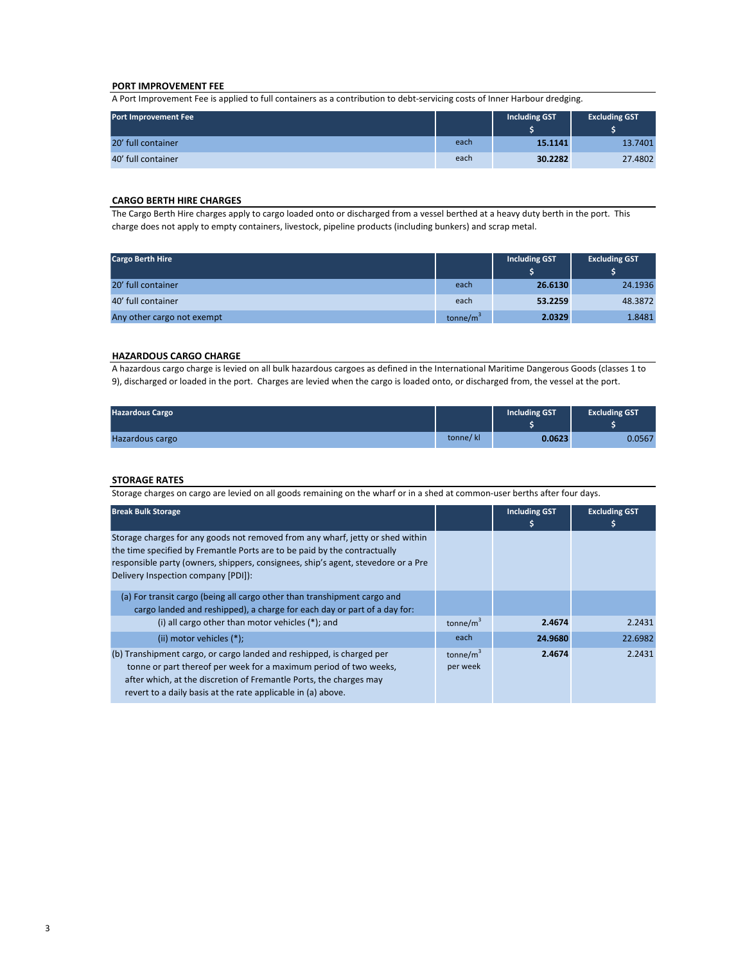#### **PORT IMPROVEMENT FEE**

A Port Improvement Fee is applied to full containers as a contribution to debt-servicing costs of Inner Harbour dredging.

| Port Improvement Fee |      | Including GST | <b>Excluding GST</b> |
|----------------------|------|---------------|----------------------|
| 20' full container   | each | 15.1141       | 13.7401              |
| 40' full container   | each | 30.2282       | 27.4802              |

### **CARGO BERTH HIRE CHARGES**

The Cargo Berth Hire charges apply to cargo loaded onto or discharged from a vessel berthed at a heavy duty berth in the port. This charge does not apply to empty containers, livestock, pipeline products (including bunkers) and scrap metal.

| <b>Cargo Berth Hire</b>    |                      | <b>Including GST</b> | <b>Excluding GST</b> |
|----------------------------|----------------------|----------------------|----------------------|
| 20' full container         | each                 | 26.6130              | 24.1936              |
| 40' full container         | each                 | 53.2259              | 48.3872              |
| Any other cargo not exempt | tonne/m <sup>3</sup> | 2.0329               | 1.8481               |

#### **HAZARDOUS CARGO CHARGE**

A hazardous cargo charge is levied on all bulk hazardous cargoes as defined in the International Maritime Dangerous Goods (classes 1 to 9), discharged or loaded in the port. Charges are levied when the cargo is loaded onto, or discharged from, the vessel at the port.

| <b>Hazardous Cargo</b> |          | <b>Including GST</b> | <b>Excluding GST</b> |
|------------------------|----------|----------------------|----------------------|
| Hazardous cargo        | tonne/kl | 0.0623               | 0.0567               |

#### **STORAGE RATES**

Storage charges on cargo are levied on all goods remaining on the wharf or in a shed at common-user berths after four days.

| <b>Break Bulk Storage</b>                                                                                                                                                                                                                                                               |                          | <b>Including GST</b> | <b>Excluding GST</b> |
|-----------------------------------------------------------------------------------------------------------------------------------------------------------------------------------------------------------------------------------------------------------------------------------------|--------------------------|----------------------|----------------------|
| Storage charges for any goods not removed from any wharf, jetty or shed within<br>the time specified by Fremantle Ports are to be paid by the contractually<br>responsible party (owners, shippers, consignees, ship's agent, stevedore or a Pre<br>Delivery Inspection company [PDI]): |                          |                      |                      |
| (a) For transit cargo (being all cargo other than transhipment cargo and<br>cargo landed and reshipped), a charge for each day or part of a day for:                                                                                                                                    |                          |                      |                      |
| (i) all cargo other than motor vehicles $(*)$ ; and                                                                                                                                                                                                                                     | tonne/ $m^3$             | 2.4674               | 2.2431               |
| (ii) motor vehicles $(*)$ ;                                                                                                                                                                                                                                                             | each                     | 24.9680              | 22.6982              |
| (b) Transhipment cargo, or cargo landed and reshipped, is charged per<br>tonne or part thereof per week for a maximum period of two weeks,<br>after which, at the discretion of Fremantle Ports, the charges may<br>revert to a daily basis at the rate applicable in (a) above.        | tonne/ $m^3$<br>per week | 2.4674               | 2.2431               |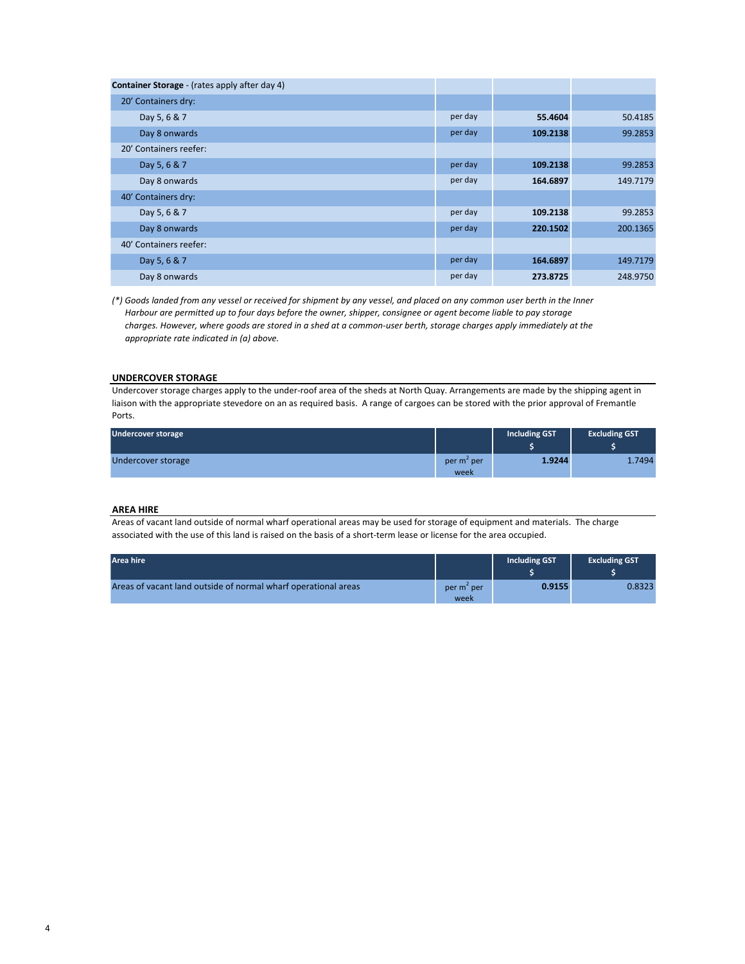| Container Storage - (rates apply after day 4) |         |          |          |
|-----------------------------------------------|---------|----------|----------|
| 20' Containers dry:                           |         |          |          |
| Day 5, 6 & 7                                  | per day | 55.4604  | 50.4185  |
| Day 8 onwards                                 | per day | 109.2138 | 99.2853  |
| 20' Containers reefer:                        |         |          |          |
| Day 5, 6 & 7                                  | per day | 109.2138 | 99.2853  |
| Day 8 onwards                                 | per day | 164.6897 | 149.7179 |
| 40' Containers dry:                           |         |          |          |
| Day 5, 6 & 7                                  | per day | 109.2138 | 99.2853  |
| Day 8 onwards                                 | per day | 220.1502 | 200.1365 |
| 40' Containers reefer:                        |         |          |          |
| Day 5, 6 & 7                                  | per day | 164.6897 | 149.7179 |
| Day 8 onwards                                 | per day | 273.8725 | 248.9750 |

*(\*) Goods landed from any vessel or received for shipment by any vessel, and placed on any common user berth in the Inner Harbour are permitted up to four days before the owner, shipper, consignee or agent become liable to pay storage charges. However, where goods are stored in a shed at a common-user berth, storage charges apply immediately at the appropriate rate indicated in (a) above.*

#### **UNDERCOVER STORAGE**

Undercover storage charges apply to the under-roof area of the sheds at North Quay. Arrangements are made by the shipping agent in liaison with the appropriate stevedore on an as required basis. A range of cargoes can be stored with the prior approval of Fremantle Ports.

| <b>Undercover storage</b> |                                | <b>Including GST</b> | <b>Excluding GST</b> |
|---------------------------|--------------------------------|----------------------|----------------------|
| Undercover storage        | per m <sup>2</sup> per<br>week | 1.9244               | 1.7494               |

#### **AREA HIRE**

Areas of vacant land outside of normal wharf operational areas may be used for storage of equipment and materials. The charge associated with the use of this land is raised on the basis of a short-term lease or license for the area occupied.

| Area hire                                                      |                                | Including GST | <b>Excluding GST</b> |
|----------------------------------------------------------------|--------------------------------|---------------|----------------------|
| Areas of vacant land outside of normal wharf operational areas | per m <sup>-</sup> per<br>week | 0.9155        | 0.8323               |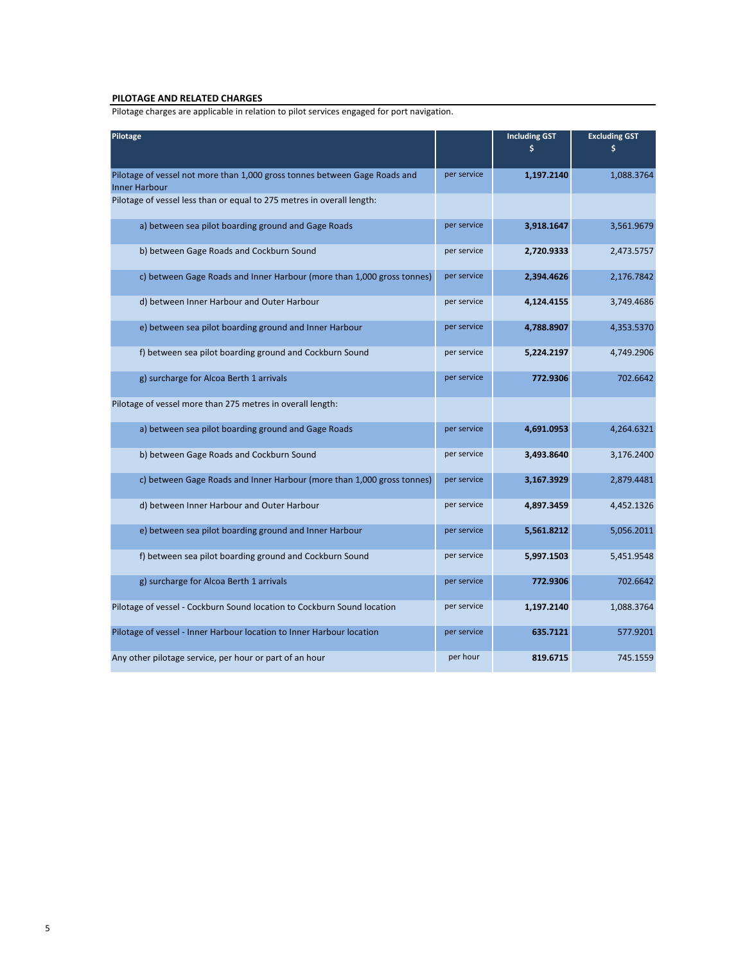#### **PILOTAGE AND RELATED CHARGES**

Pilotage charges are applicable in relation to pilot services engaged for port navigation.

| Pilotage                                                                                           |             | <b>Including GST</b> | <b>Excluding GST</b> |
|----------------------------------------------------------------------------------------------------|-------------|----------------------|----------------------|
|                                                                                                    |             | \$                   |                      |
| Pilotage of vessel not more than 1,000 gross tonnes between Gage Roads and<br><b>Inner Harbour</b> | per service | 1,197.2140           | 1,088.3764           |
| Pilotage of vessel less than or equal to 275 metres in overall length:                             |             |                      |                      |
| a) between sea pilot boarding ground and Gage Roads                                                | per service | 3,918.1647           | 3,561.9679           |
| b) between Gage Roads and Cockburn Sound                                                           | per service | 2,720.9333           | 2,473.5757           |
| c) between Gage Roads and Inner Harbour (more than 1,000 gross tonnes)                             | per service | 2,394.4626           | 2,176.7842           |
| d) between Inner Harbour and Outer Harbour                                                         | per service | 4,124.4155           | 3,749.4686           |
| e) between sea pilot boarding ground and Inner Harbour                                             | per service | 4,788.8907           | 4,353.5370           |
| f) between sea pilot boarding ground and Cockburn Sound                                            | per service | 5,224.2197           | 4,749.2906           |
| g) surcharge for Alcoa Berth 1 arrivals                                                            | per service | 772.9306             | 702.6642             |
| Pilotage of vessel more than 275 metres in overall length:                                         |             |                      |                      |
| a) between sea pilot boarding ground and Gage Roads                                                | per service | 4,691.0953           | 4,264.6321           |
| b) between Gage Roads and Cockburn Sound                                                           | per service | 3,493.8640           | 3,176.2400           |
| c) between Gage Roads and Inner Harbour (more than 1,000 gross tonnes)                             | per service | 3,167.3929           | 2,879.4481           |
| d) between Inner Harbour and Outer Harbour                                                         | per service | 4,897.3459           | 4,452.1326           |
| e) between sea pilot boarding ground and Inner Harbour                                             | per service | 5,561.8212           | 5,056.2011           |
| f) between sea pilot boarding ground and Cockburn Sound                                            | per service | 5,997.1503           | 5,451.9548           |
| g) surcharge for Alcoa Berth 1 arrivals                                                            | per service | 772.9306             | 702.6642             |
| Pilotage of vessel - Cockburn Sound location to Cockburn Sound location                            | per service | 1,197.2140           | 1,088.3764           |
| Pilotage of vessel - Inner Harbour location to Inner Harbour location                              | per service | 635.7121             | 577.9201             |
| Any other pilotage service, per hour or part of an hour                                            | per hour    | 819.6715             | 745.1559             |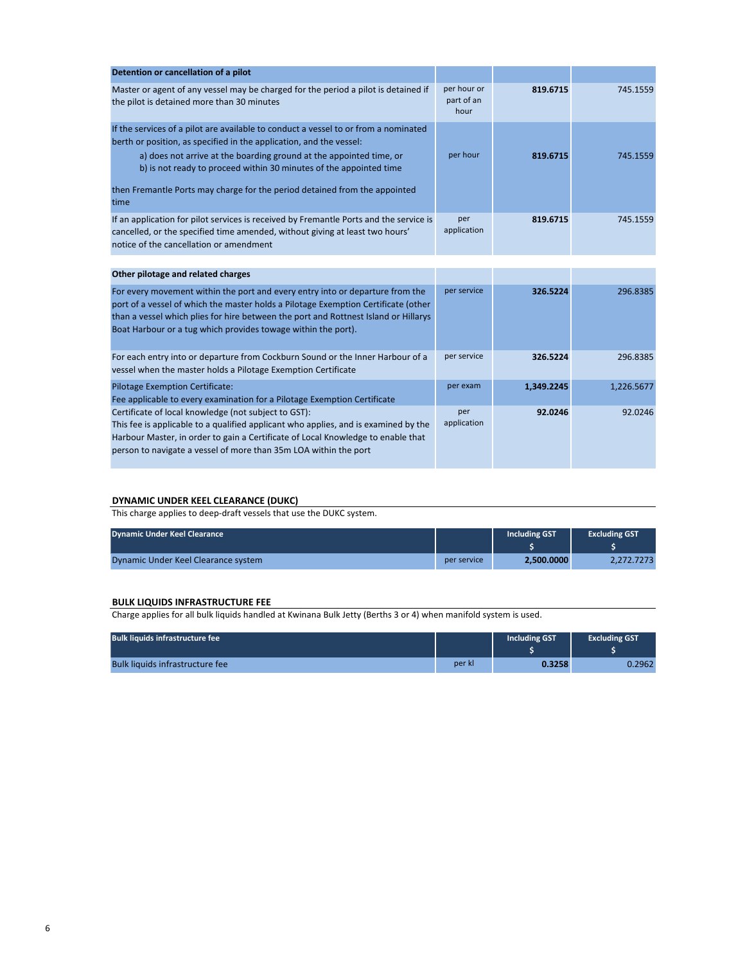| Detention or cancellation of a pilot                                                                                                                                                                                                                                                                                                                                                          |                                   |            |            |
|-----------------------------------------------------------------------------------------------------------------------------------------------------------------------------------------------------------------------------------------------------------------------------------------------------------------------------------------------------------------------------------------------|-----------------------------------|------------|------------|
| Master or agent of any vessel may be charged for the period a pilot is detained if<br>the pilot is detained more than 30 minutes                                                                                                                                                                                                                                                              | per hour or<br>part of an<br>hour | 819.6715   | 745.1559   |
| If the services of a pilot are available to conduct a vessel to or from a nominated<br>berth or position, as specified in the application, and the vessel:<br>a) does not arrive at the boarding ground at the appointed time, or<br>b) is not ready to proceed within 30 minutes of the appointed time<br>then Fremantle Ports may charge for the period detained from the appointed<br>time | per hour                          | 819.6715   | 745.1559   |
| If an application for pilot services is received by Fremantle Ports and the service is<br>cancelled, or the specified time amended, without giving at least two hours'<br>notice of the cancellation or amendment                                                                                                                                                                             | per<br>application                | 819.6715   | 745.1559   |
| Other pilotage and related charges                                                                                                                                                                                                                                                                                                                                                            |                                   |            |            |
| For every movement within the port and every entry into or departure from the<br>port of a vessel of which the master holds a Pilotage Exemption Certificate (other<br>than a vessel which plies for hire between the port and Rottnest Island or Hillarys<br>Boat Harbour or a tug which provides towage within the port).                                                                   | per service                       | 326.5224   | 296.8385   |
| For each entry into or departure from Cockburn Sound or the Inner Harbour of a<br>vessel when the master holds a Pilotage Exemption Certificate                                                                                                                                                                                                                                               | per service                       | 326.5224   | 296.8385   |
| <b>Pilotage Exemption Certificate:</b><br>Fee applicable to every examination for a Pilotage Exemption Certificate                                                                                                                                                                                                                                                                            | per exam                          | 1,349.2245 | 1,226.5677 |
| Certificate of local knowledge (not subject to GST):<br>This fee is applicable to a qualified applicant who applies, and is examined by the<br>Harbour Master, in order to gain a Certificate of Local Knowledge to enable that<br>person to navigate a vessel of more than 35m LOA within the port                                                                                           | per<br>application                | 92.0246    | 92.0246    |

# **DYNAMIC UNDER KEEL CLEARANCE (DUKC)**

This charge applies to deep-draft vessels that use the DUKC system.

| <b>Dynamic Under Keel Clearance</b> |             | Including GST | <b>Excluding GST</b> |
|-------------------------------------|-------------|---------------|----------------------|
| Dynamic Under Keel Clearance system | per service | 2.500.0000    | 2.272.7273           |

# **BULK LIQUIDS INFRASTRUCTURE FEE**

Charge applies for all bulk liquids handled at Kwinana Bulk Jetty (Berths 3 or 4) when manifold system is used.

| <b>Bulk liquids infrastructure fee</b> |        | Including GST | <b>Excluding GST</b> |
|----------------------------------------|--------|---------------|----------------------|
| Bulk liquids infrastructure fee        | per kl | 0.3258        | 0.2962               |